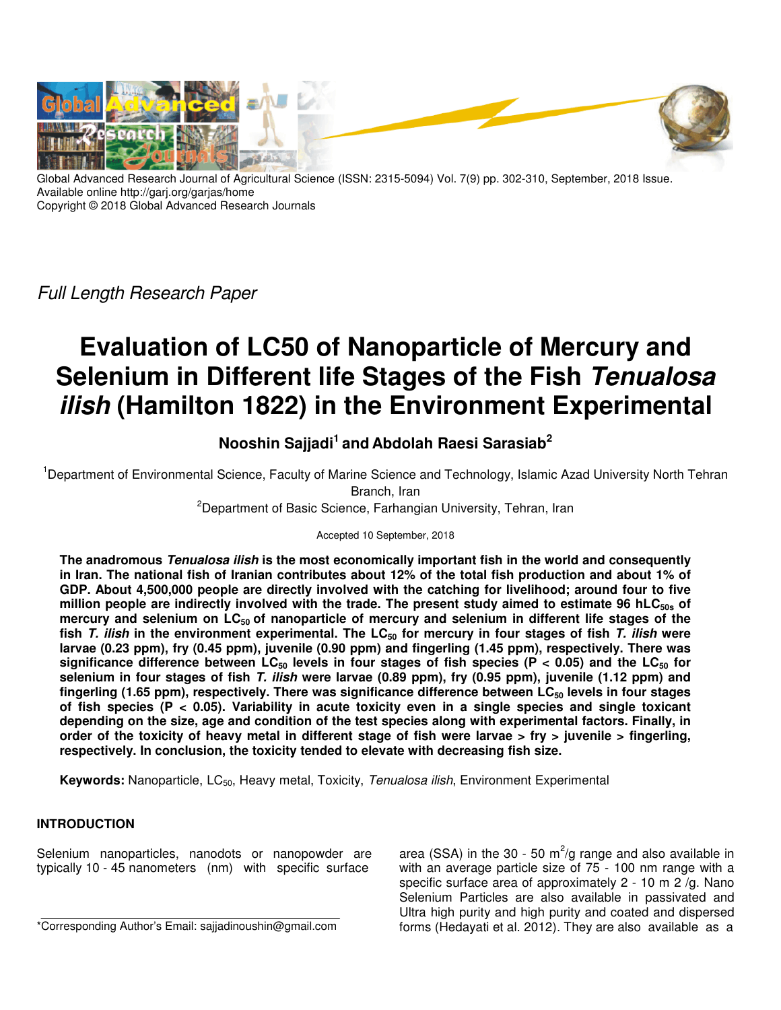

Global Advanced Research Journal of Agricultural Science (ISSN: 2315-5094) Vol. 7(9) pp. 302-310, September, 2018 Issue. Available online http://garj.org/garjas/home Copyright © 2018 Global Advanced Research Journals

Full Length Research Paper

# **Evaluation of LC50 of Nanoparticle of Mercury and Selenium in Different life Stages of the Fish Tenualosa ilish (Hamilton 1822) in the Environment Experimental**

# **Nooshin Sajjadi<sup>1</sup>and Abdolah Raesi Sarasiab<sup>2</sup>**

<sup>1</sup>Department of Environmental Science, Faculty of Marine Science and Technology, Islamic Azad University North Tehran Branch, Iran

<sup>2</sup>Department of Basic Science, Farhangian University, Tehran, Iran

Accepted 10 September, 2018

**The anadromous Tenualosa ilish is the most economically important fish in the world and consequently in Iran. The national fish of Iranian contributes about 12% of the total fish production and about 1% of GDP. About 4,500,000 people are directly involved with the catching for livelihood; around four to five million people are indirectly involved with the trade. The present study aimed to estimate 96 hLC50s of mercury and selenium on LC50 of nanoparticle of mercury and selenium in different life stages of the fish T. ilish in the environment experimental. The LC50 for mercury in four stages of fish T. ilish were larvae (0.23 ppm), fry (0.45 ppm), juvenile (0.90 ppm) and fingerling (1.45 ppm), respectively. There was**  significance difference between LC<sub>50</sub> levels in four stages of fish species (P < 0.05) and the LC<sub>50</sub> for **selenium in four stages of fish T. ilish were larvae (0.89 ppm), fry (0.95 ppm), juvenile (1.12 ppm) and fingerling (1.65 ppm), respectively. There was significance difference between LC50 levels in four stages of fish species (P < 0.05). Variability in acute toxicity even in a single species and single toxicant depending on the size, age and condition of the test species along with experimental factors. Finally, in order of the toxicity of heavy metal in different stage of fish were larvae > fry > juvenile > fingerling, respectively. In conclusion, the toxicity tended to elevate with decreasing fish size.** 

**Keywords:** Nanoparticle, LC<sub>50</sub>, Heavy metal, Toxicity, Tenualosa ilish, Environment Experimental

# **INTRODUCTION**

Selenium nanoparticles, nanodots or nanopowder are typically 10 - 45 nanometers (nm) with specific surface

\*Corresponding Author's Email: sajjadinoushin@gmail.com

area (SSA) in the 30 - 50 m<sup>2</sup>/g range and also available in with an average particle size of 75 - 100 nm range with a specific surface area of approximately 2 - 10 m 2 /g. Nano Selenium Particles are also available in passivated and Ultra high purity and high purity and coated and dispersed forms (Hedayati et al. 2012). They are also available as a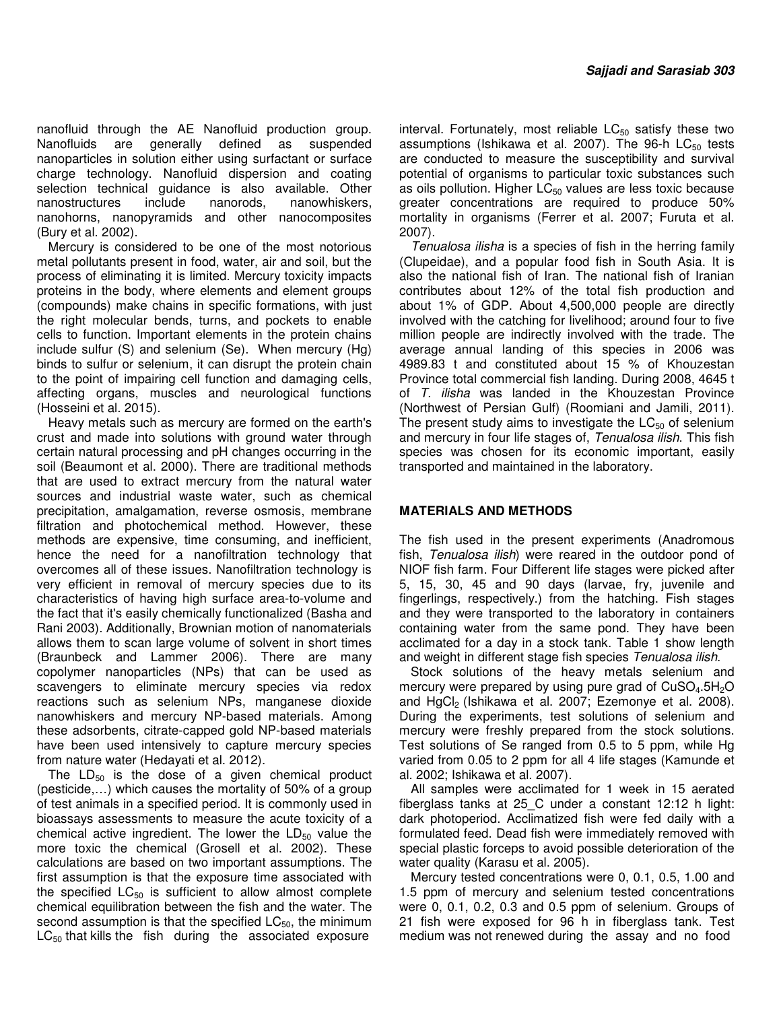nanofluid through the AE Nanofluid production group. Nanofluids are generally defined as suspended nanoparticles in solution either using surfactant or surface charge technology. Nanofluid dispersion and coating selection technical guidance is also available. Other nanostructures include nanorods, nanowhiskers, nanohorns, nanopyramids and other nanocomposites (Bury et al. 2002).

Mercury is considered to be one of the most notorious metal pollutants present in food, water, air and soil, but the process of eliminating it is limited. Mercury toxicity impacts proteins in the body, where elements and element groups (compounds) make chains in specific formations, with just the right molecular bends, turns, and pockets to enable cells to function. Important elements in the protein chains include sulfur (S) and selenium (Se). When mercury (Hg) binds to sulfur or selenium, it can disrupt the protein chain to the point of impairing cell function and damaging cells, affecting organs, muscles and neurological functions (Hosseini et al. 2015).

Heavy metals such as mercury are formed on the earth's crust and made into solutions with ground water through certain natural processing and pH changes occurring in the soil (Beaumont et al. 2000). There are traditional methods that are used to extract mercury from the natural water sources and industrial waste water, such as chemical precipitation, amalgamation, reverse osmosis, membrane filtration and photochemical method. However, these methods are expensive, time consuming, and inefficient, hence the need for a nanofiltration technology that overcomes all of these issues. Nanofiltration technology is very efficient in removal of mercury species due to its characteristics of having high surface area-to-volume and the fact that it's easily chemically functionalized (Basha and Rani 2003). Additionally, Brownian motion of nanomaterials allows them to scan large volume of solvent in short times (Braunbeck and Lammer 2006). There are many copolymer nanoparticles (NPs) that can be used as scavengers to eliminate mercury species via redox reactions such as selenium NPs, manganese dioxide nanowhiskers and mercury NP-based materials. Among these adsorbents, citrate-capped gold NP-based materials have been used intensively to capture mercury species from nature water (Hedayati et al. 2012).

The  $LD_{50}$  is the dose of a given chemical product (pesticide,…) which causes the mortality of 50% of a group of test animals in a specified period. It is commonly used in bioassays assessments to measure the acute toxicity of a chemical active ingredient. The lower the  $LD_{50}$  value the more toxic the chemical (Grosell et al. 2002). These calculations are based on two important assumptions. The first assumption is that the exposure time associated with the specified  $LC_{50}$  is sufficient to allow almost complete chemical equilibration between the fish and the water. The second assumption is that the specified  $LC_{50}$ , the minimum  $LC_{50}$  that kills the fish during the associated exposure

interval. Fortunately, most reliable  $LC_{50}$  satisfy these two assumptions (Ishikawa et al. 2007). The 96-h LC<sub>50</sub> tests are conducted to measure the susceptibility and survival potential of organisms to particular toxic substances such as oils pollution. Higher  $LC_{50}$  values are less toxic because greater concentrations are required to produce 50% mortality in organisms (Ferrer et al. 2007; Furuta et al. 2007).

Tenualosa ilisha is a species of fish in the herring family (Clupeidae), and a popular food fish in South Asia. It is also the national fish of Iran. The national fish of Iranian contributes about 12% of the total fish production and about 1% of GDP. About 4,500,000 people are directly involved with the catching for livelihood; around four to five million people are indirectly involved with the trade. The average annual landing of this species in 2006 was 4989.83 t and constituted about 15 % of Khouzestan Province total commercial fish landing. During 2008, 4645 t of T. ilisha was landed in the Khouzestan Province (Northwest of Persian Gulf) (Roomiani and Jamili, 2011). The present study aims to investigate the  $LC_{50}$  of selenium and mercury in four life stages of, Tenualosa ilish. This fish species was chosen for its economic important, easily transported and maintained in the laboratory.

## **MATERIALS AND METHODS**

The fish used in the present experiments (Anadromous fish, Tenualosa ilish) were reared in the outdoor pond of NIOF fish farm. Four Different life stages were picked after 5, 15, 30, 45 and 90 days (larvae, fry, juvenile and fingerlings, respectively.) from the hatching. Fish stages and they were transported to the laboratory in containers containing water from the same pond. They have been acclimated for a day in a stock tank. Table 1 show length and weight in different stage fish species Tenualosa ilish.

Stock solutions of the heavy metals selenium and mercury were prepared by using pure grad of  $CuSO<sub>4</sub> \cdot 5H<sub>2</sub>O$ and HgCl<sub>2</sub> (Ishikawa et al. 2007; Ezemonye et al. 2008). During the experiments, test solutions of selenium and mercury were freshly prepared from the stock solutions. Test solutions of Se ranged from 0.5 to 5 ppm, while Hg varied from 0.05 to 2 ppm for all 4 life stages (Kamunde et al. 2002; Ishikawa et al. 2007).

All samples were acclimated for 1 week in 15 aerated fiberglass tanks at 25\_C under a constant 12:12 h light: dark photoperiod. Acclimatized fish were fed daily with a formulated feed. Dead fish were immediately removed with special plastic forceps to avoid possible deterioration of the water quality (Karasu et al. 2005).

Mercury tested concentrations were 0, 0.1, 0.5, 1.00 and 1.5 ppm of mercury and selenium tested concentrations were 0, 0.1, 0.2, 0.3 and 0.5 ppm of selenium. Groups of 21 fish were exposed for 96 h in fiberglass tank. Test medium was not renewed during the assay and no food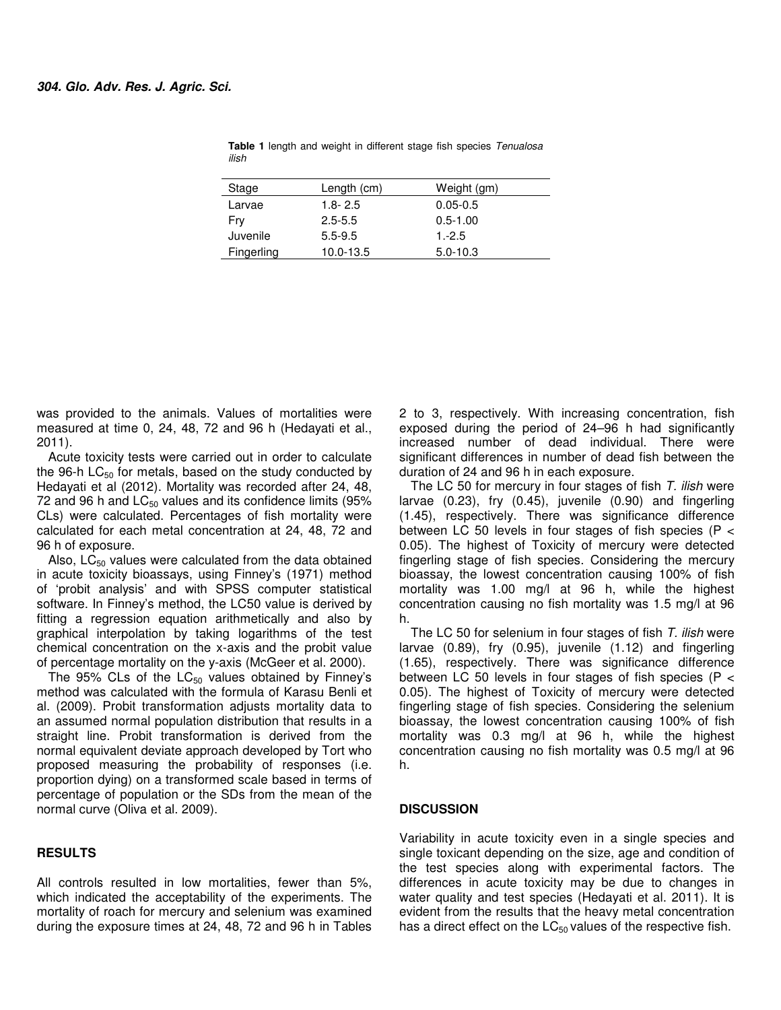| Stage      | Length (cm) | Weight (gm)  |  |
|------------|-------------|--------------|--|
| Larvae     | $1.8 - 2.5$ | $0.05 - 0.5$ |  |
| Fry        | $2.5 - 5.5$ | $0.5 - 1.00$ |  |
| Juvenile   | $5.5 - 9.5$ | $1.-2.5$     |  |
| Fingerling | 10.0-13.5   | $5.0 - 10.3$ |  |
|            |             |              |  |

**Table 1** length and weight in different stage fish species Tenualosa ilish

was provided to the animals. Values of mortalities were measured at time 0, 24, 48, 72 and 96 h (Hedayati et al., 2011).

Acute toxicity tests were carried out in order to calculate the 96-h  $LC_{50}$  for metals, based on the study conducted by Hedayati et al (2012). Mortality was recorded after 24, 48, 72 and 96 h and  $LC_{50}$  values and its confidence limits (95% CLs) were calculated. Percentages of fish mortality were calculated for each metal concentration at 24, 48, 72 and 96 h of exposure.

Also,  $LC_{50}$  values were calculated from the data obtained in acute toxicity bioassays, using Finney's (1971) method of 'probit analysis' and with SPSS computer statistical software. In Finney's method, the LC50 value is derived by fitting a regression equation arithmetically and also by graphical interpolation by taking logarithms of the test chemical concentration on the x-axis and the probit value of percentage mortality on the y-axis (McGeer et al. 2000).

The 95% CLs of the  $LC_{50}$  values obtained by Finney's method was calculated with the formula of Karasu Benli et al. (2009). Probit transformation adjusts mortality data to an assumed normal population distribution that results in a straight line. Probit transformation is derived from the normal equivalent deviate approach developed by Tort who proposed measuring the probability of responses (i.e. proportion dying) on a transformed scale based in terms of percentage of population or the SDs from the mean of the normal curve (Oliva et al. 2009).

## **RESULTS**

All controls resulted in low mortalities, fewer than 5%, which indicated the acceptability of the experiments. The mortality of roach for mercury and selenium was examined during the exposure times at 24, 48, 72 and 96 h in Tables

2 to 3, respectively. With increasing concentration, fish exposed during the period of 24–96 h had significantly increased number of dead individual. There were significant differences in number of dead fish between the duration of 24 and 96 h in each exposure.

The LC 50 for mercury in four stages of fish T. ilish were larvae (0.23), fry (0.45), juvenile (0.90) and fingerling (1.45), respectively. There was significance difference between LC 50 levels in four stages of fish species (P < 0.05). The highest of Toxicity of mercury were detected fingerling stage of fish species. Considering the mercury bioassay, the lowest concentration causing 100% of fish mortality was 1.00 mg/l at 96 h, while the highest concentration causing no fish mortality was 1.5 mg/l at 96 h.

The LC 50 for selenium in four stages of fish T. ilish were larvae (0.89), fry (0.95), juvenile (1.12) and fingerling (1.65), respectively. There was significance difference between LC 50 levels in four stages of fish species (P < 0.05). The highest of Toxicity of mercury were detected fingerling stage of fish species. Considering the selenium bioassay, the lowest concentration causing 100% of fish mortality was 0.3 mg/l at 96 h, while the highest concentration causing no fish mortality was 0.5 mg/l at 96 h.

#### **DISCUSSION**

Variability in acute toxicity even in a single species and single toxicant depending on the size, age and condition of the test species along with experimental factors. The differences in acute toxicity may be due to changes in water quality and test species (Hedayati et al. 2011). It is evident from the results that the heavy metal concentration has a direct effect on the  $LC_{50}$  values of the respective fish.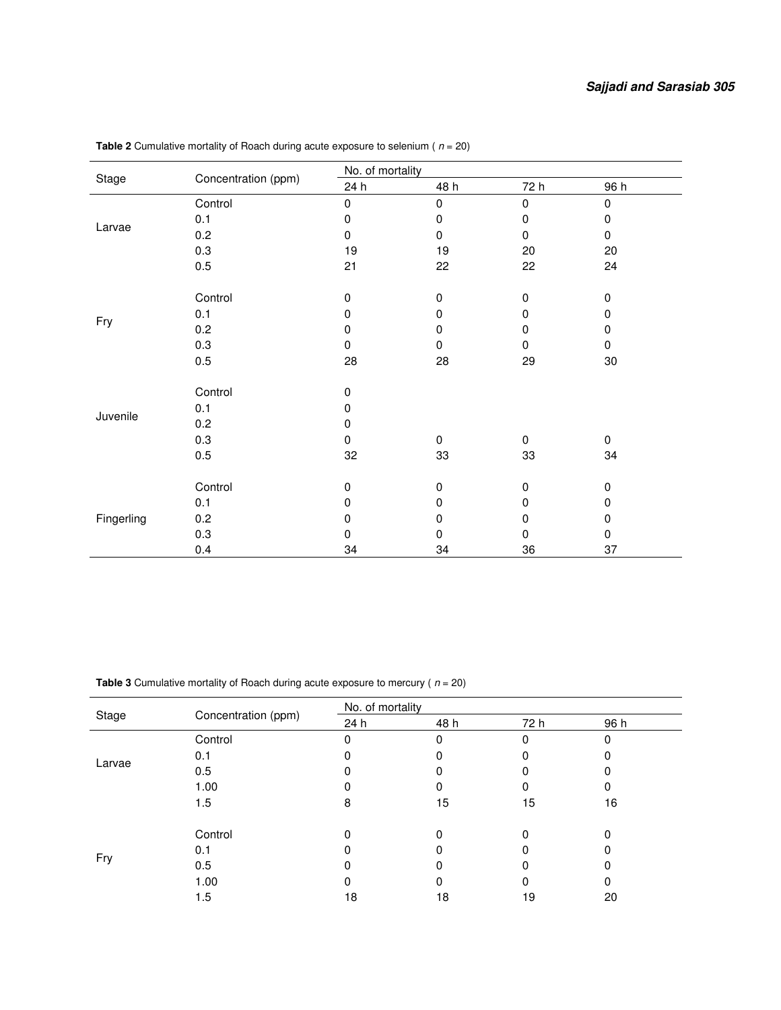|            | Concentration (ppm) | No. of mortality |             |           |             |  |
|------------|---------------------|------------------|-------------|-----------|-------------|--|
| Stage      |                     | 24 h             | 48 h        | 72 h      | 96 h        |  |
| Larvae     | Control             | $\pmb{0}$        | 0           | $\pmb{0}$ | 0           |  |
|            | 0.1                 | 0                | 0           | 0         | 0           |  |
|            | 0.2                 | 0                | 0           | 0         | 0           |  |
|            | 0.3                 | 19               | 19          | 20        | 20          |  |
|            | 0.5                 | 21               | 22          | 22        | 24          |  |
|            |                     |                  |             |           |             |  |
|            | Control             | 0                | 0           | 0         | 0           |  |
|            | 0.1                 | $\mathbf 0$      | 0           | 0         | 0           |  |
| Fry        | 0.2                 | 0                | 0           | 0         | 0           |  |
|            | 0.3                 | $\mathbf 0$      | 0           | $\Omega$  | 0           |  |
|            | 0.5                 | 28               | 28          | 29        | $30\,$      |  |
|            |                     |                  |             |           |             |  |
|            | Control             | $\mathbf 0$      |             |           |             |  |
|            | 0.1                 | 0                |             |           |             |  |
| Juvenile   | 0.2                 | $\mathbf 0$      |             |           |             |  |
|            | 0.3                 | 0                | $\mathbf 0$ | $\Omega$  | $\mathbf 0$ |  |
|            | 0.5                 | 32               | 33          | 33        | 34          |  |
|            |                     |                  |             |           |             |  |
|            | Control             | $\mathbf 0$      | 0           | 0         | 0           |  |
|            | 0.1                 | $\mathbf 0$      | 0           | 0         | 0           |  |
| Fingerling | 0.2                 | 0                | 0           | 0         | 0           |  |
|            | 0.3                 | 0                | 0           | 0         | 0           |  |
|            | 0.4                 | 34               | 34          | 36        | 37          |  |

**Table 2** Cumulative mortality of Roach during acute exposure to selenium ( $n = 20$ )

**Table 3** Cumulative mortality of Roach during acute exposure to mercury ( $n = 20$ )

| Stage                     |                     | No. of mortality |      |      |      |
|---------------------------|---------------------|------------------|------|------|------|
|                           | Concentration (ppm) | 24 h             | 48 h | 72 h | 96 h |
| Larvae                    | Control             |                  | 0    |      |      |
|                           | 0.1                 |                  |      |      |      |
|                           | 0.5                 | 0                |      |      | 0    |
|                           | 1.00                | 0                |      |      | 0    |
|                           | 1.5                 | 8                | 15   | 15   | 16   |
| 0.1<br>Fry<br>0.5<br>1.00 | Control             | $\Omega$         |      |      | O    |
|                           |                     | 0                |      |      |      |
|                           |                     |                  |      |      |      |
|                           |                     | 0                | 0    |      |      |
|                           | 1.5                 | 18               | 18   | 19   | 20   |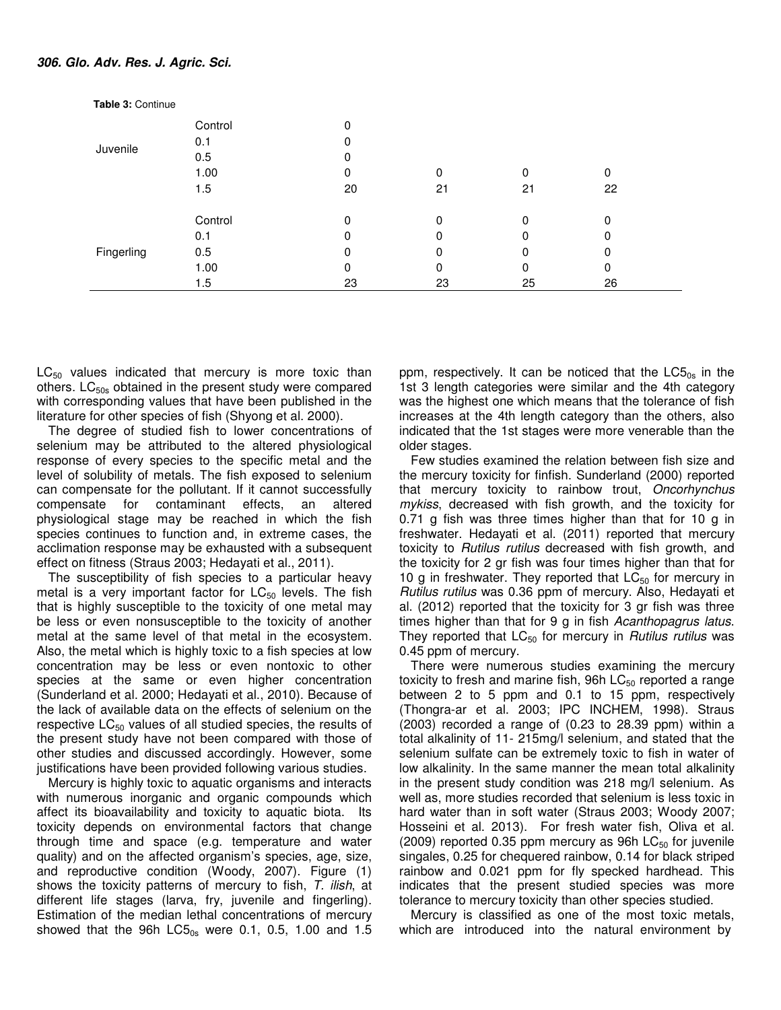| <b>Table 3: Continue</b> |         |    |    |    |    |  |
|--------------------------|---------|----|----|----|----|--|
|                          | Control | 0  |    |    |    |  |
|                          | 0.1     | 0  |    |    |    |  |
| Juvenile                 | 0.5     | 0  |    |    |    |  |
|                          | 1.00    | 0  | 0  | 0  | 0  |  |
|                          | 1.5     | 20 | 21 | 21 | 22 |  |
|                          | Control | 0  | 0  | 0  | 0  |  |
|                          | 0.1     | 0  | 0  | 0  | 0  |  |
| Fingerling               | 0.5     | 0  | 0  | 0  | 0  |  |
|                          | 1.00    | 0  | 0  | 0  | 0  |  |
|                          | 1.5     | 23 | 23 | 25 | 26 |  |

 $LC_{50}$  values indicated that mercury is more toxic than others.  $LC_{50s}$  obtained in the present study were compared with corresponding values that have been published in the literature for other species of fish (Shyong et al. 2000).

The degree of studied fish to lower concentrations of selenium may be attributed to the altered physiological response of every species to the specific metal and the level of solubility of metals. The fish exposed to selenium can compensate for the pollutant. If it cannot successfully compensate for contaminant effects, an altered physiological stage may be reached in which the fish species continues to function and, in extreme cases, the acclimation response may be exhausted with a subsequent effect on fitness (Straus 2003; Hedayati et al., 2011).

The susceptibility of fish species to a particular heavy metal is a very important factor for  $LC_{50}$  levels. The fish that is highly susceptible to the toxicity of one metal may be less or even nonsusceptible to the toxicity of another metal at the same level of that metal in the ecosystem. Also, the metal which is highly toxic to a fish species at low concentration may be less or even nontoxic to other species at the same or even higher concentration (Sunderland et al. 2000; Hedayati et al., 2010). Because of the lack of available data on the effects of selenium on the respective  $LC_{50}$  values of all studied species, the results of the present study have not been compared with those of other studies and discussed accordingly. However, some justifications have been provided following various studies.

Mercury is highly toxic to aquatic organisms and interacts with numerous inorganic and organic compounds which affect its bioavailability and toxicity to aquatic biota. Its toxicity depends on environmental factors that change through time and space (e.g. temperature and water quality) and on the affected organism's species, age, size, and reproductive condition (Woody, 2007). Figure (1) shows the toxicity patterns of mercury to fish, T. ilish, at different life stages (larva, fry, juvenile and fingerling). Estimation of the median lethal concentrations of mercury showed that the 96h  $LC5_{0s}$  were 0.1, 0.5, 1.00 and 1.5

ppm, respectively. It can be noticed that the  $LC5<sub>0s</sub>$  in the 1st 3 length categories were similar and the 4th category was the highest one which means that the tolerance of fish increases at the 4th length category than the others, also indicated that the 1st stages were more venerable than the older stages.

Few studies examined the relation between fish size and the mercury toxicity for finfish. Sunderland (2000) reported that mercury toxicity to rainbow trout, Oncorhynchus mykiss, decreased with fish growth, and the toxicity for 0.71 g fish was three times higher than that for 10 g in freshwater. Hedayati et al. (2011) reported that mercury toxicity to Rutilus rutilus decreased with fish growth, and the toxicity for 2 gr fish was four times higher than that for 10 g in freshwater. They reported that  $LC_{50}$  for mercury in Rutilus rutilus was 0.36 ppm of mercury. Also, Hedayati et al. (2012) reported that the toxicity for 3 gr fish was three times higher than that for 9 g in fish Acanthopagrus latus. They reported that  $LC_{50}$  for mercury in *Rutilus rutilus* was 0.45 ppm of mercury.

There were numerous studies examining the mercury toxicity to fresh and marine fish, 96h  $LC_{50}$  reported a range between 2 to 5 ppm and 0.1 to 15 ppm, respectively (Thongra-ar et al. 2003; IPC INCHEM, 1998). Straus (2003) recorded a range of (0.23 to 28.39 ppm) within a total alkalinity of 11- 215mg/l selenium, and stated that the selenium sulfate can be extremely toxic to fish in water of low alkalinity. In the same manner the mean total alkalinity in the present study condition was 218 mg/l selenium. As well as, more studies recorded that selenium is less toxic in hard water than in soft water (Straus 2003; Woody 2007; Hosseini et al. 2013). For fresh water fish, Oliva et al. (2009) reported 0.35 ppm mercury as 96h  $LC_{50}$  for juvenile singales, 0.25 for chequered rainbow, 0.14 for black striped rainbow and 0.021 ppm for fly specked hardhead. This indicates that the present studied species was more tolerance to mercury toxicity than other species studied.

Mercury is classified as one of the most toxic metals, which are introduced into the natural environment by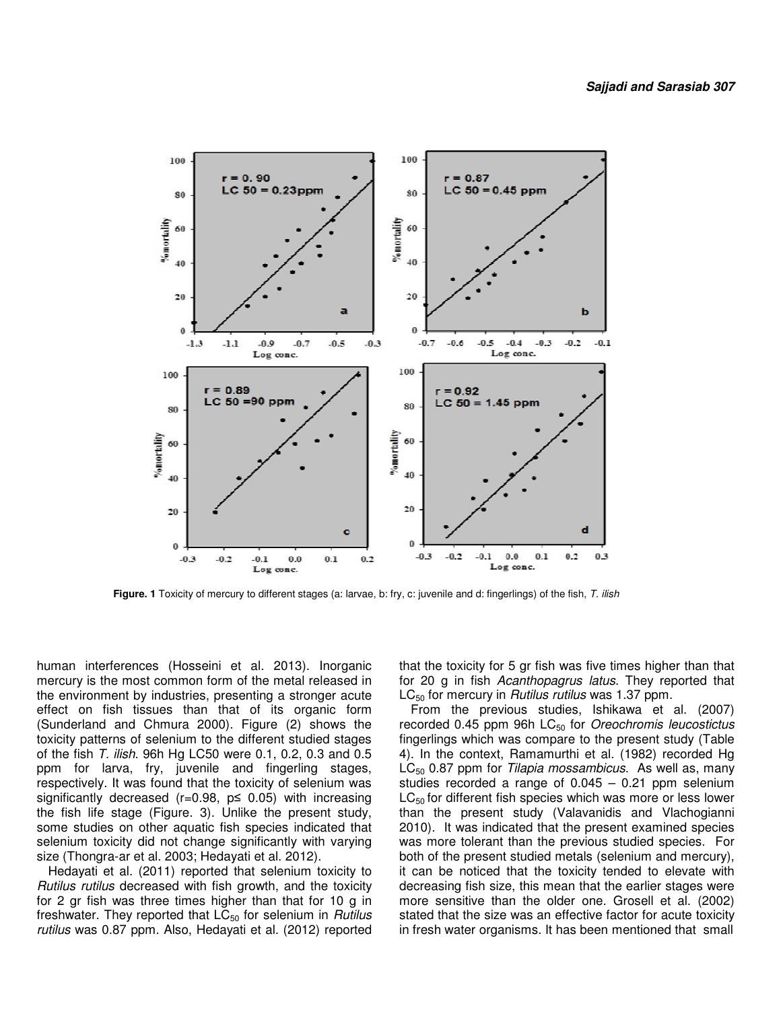

 **Figure. 1** Toxicity of mercury to different stages (a: larvae, b: fry, c: juvenile and d: fingerlings) of the fish, T. ilish

human interferences (Hosseini et al. 2013). Inorganic mercury is the most common form of the metal released in the environment by industries, presenting a stronger acute effect on fish tissues than that of its organic form (Sunderland and Chmura 2000). Figure (2) shows the toxicity patterns of selenium to the different studied stages of the fish T. ilish. 96h Hg LC50 were 0.1, 0.2, 0.3 and 0.5 ppm for larva, fry, juvenile and fingerling stages, respectively. It was found that the toxicity of selenium was significantly decreased ( $r=0.98$ ,  $p \le 0.05$ ) with increasing the fish life stage (Figure. 3). Unlike the present study, some studies on other aquatic fish species indicated that selenium toxicity did not change significantly with varying size (Thongra-ar et al. 2003; Hedayati et al. 2012).

Hedayati et al. (2011) reported that selenium toxicity to Rutilus rutilus decreased with fish growth, and the toxicity for 2 gr fish was three times higher than that for 10 g in freshwater. They reported that  $LC_{50}$  for selenium in Rutilus rutilus was 0.87 ppm. Also, Hedayati et al. (2012) reported

that the toxicity for 5 gr fish was five times higher than that for 20 g in fish Acanthopagrus latus. They reported that  $LC_{50}$  for mercury in *Rutilus rutilus* was 1.37 ppm.

From the previous studies, Ishikawa et al. (2007) recorded 0.45 ppm 96h  $LC_{50}$  for *Oreochromis leucostictus* fingerlings which was compare to the present study (Table 4). In the context, Ramamurthi et al. (1982) recorded Hg  $LC_{50}$  0.87 ppm for Tilapia mossambicus. As well as, many studies recorded a range of 0.045 – 0.21 ppm selenium  $LC_{50}$  for different fish species which was more or less lower than the present study (Valavanidis and Vlachogianni 2010). It was indicated that the present examined species was more tolerant than the previous studied species. For both of the present studied metals (selenium and mercury), it can be noticed that the toxicity tended to elevate with decreasing fish size, this mean that the earlier stages were more sensitive than the older one. Grosell et al. (2002) stated that the size was an effective factor for acute toxicity in fresh water organisms. It has been mentioned that small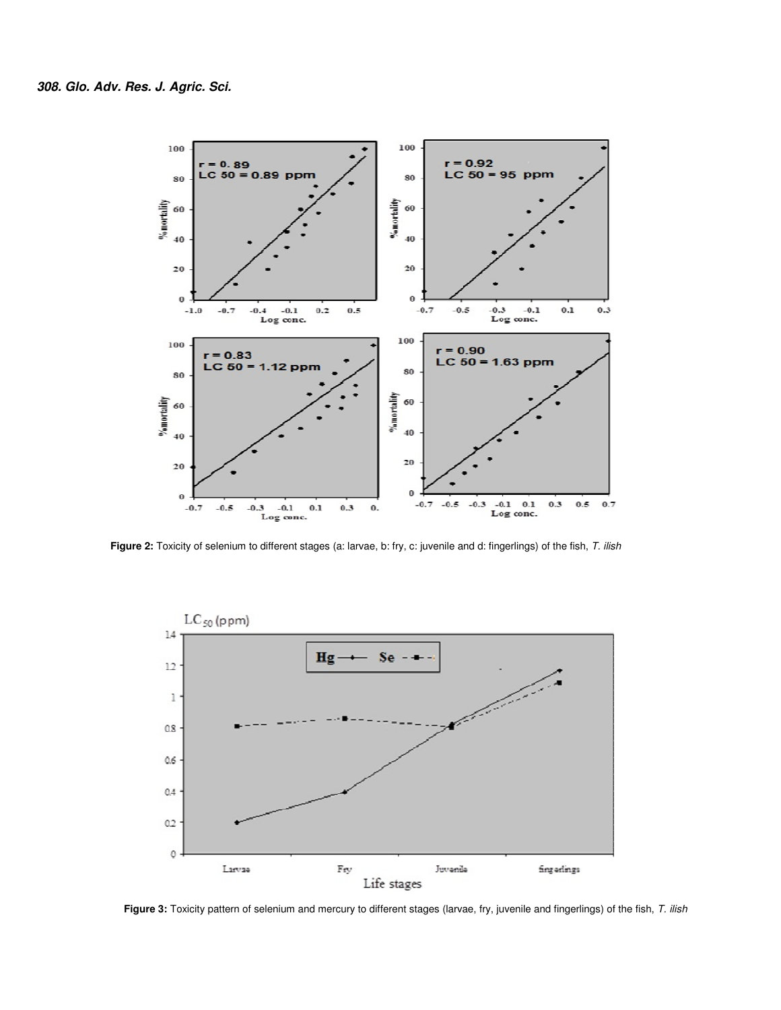

Figure 2: Toxicity of selenium to different stages (a: larvae, b: fry, c: juvenile and d: fingerlings) of the fish, T. ilish



Figure 3: Toxicity pattern of selenium and mercury to different stages (larvae, fry, juvenile and fingerlings) of the fish, T. ilish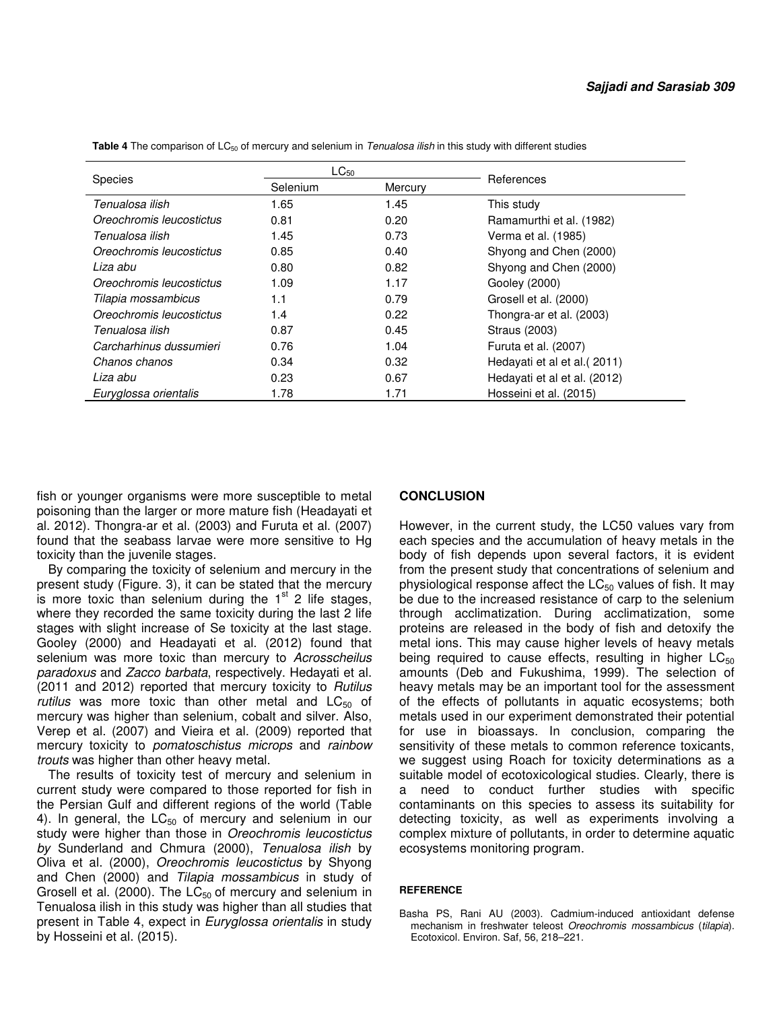|                          | $LC_{50}$           |      |                              |
|--------------------------|---------------------|------|------------------------------|
| <b>Species</b>           | Selenium<br>Mercury |      | References                   |
| Tenualosa ilish          | 1.65                | 1.45 | This study                   |
| Oreochromis leucostictus | 0.81                | 0.20 | Ramamurthi et al. (1982)     |
| Tenualosa ilish          | 1.45                | 0.73 | Verma et al. (1985)          |
| Oreochromis leucostictus | 0.85                | 0.40 | Shyong and Chen (2000)       |
| Liza abu                 | 0.80                | 0.82 | Shyong and Chen (2000)       |
| Oreochromis leucostictus | 1.09                | 1.17 | Gooley (2000)                |
| Tilapia mossambicus      | 1.1                 | 0.79 | Grosell et al. (2000)        |
| Oreochromis leucostictus | 1.4                 | 0.22 | Thongra-ar et al. (2003)     |
| Tenualosa ilish          | 0.87                | 0.45 | Straus (2003)                |
| Carcharhinus dussumieri  | 0.76                | 1.04 | Furuta et al. (2007)         |
| Chanos chanos            | 0.34                | 0.32 | Hedayati et al et al. (2011) |
| Liza abu                 | 0.23                | 0.67 | Hedayati et al et al. (2012) |
| Euryglossa orientalis    | 1.78                | 1.71 | Hosseini et al. (2015)       |

Table 4 The comparison of LC<sub>50</sub> of mercury and selenium in Tenualosa ilish in this study with different studies

fish or younger organisms were more susceptible to metal poisoning than the larger or more mature fish (Headayati et al. 2012). Thongra-ar et al. (2003) and Furuta et al. (2007) found that the seabass larvae were more sensitive to Hg toxicity than the juvenile stages.

By comparing the toxicity of selenium and mercury in the present study (Figure. 3), it can be stated that the mercury is more toxic than selenium during the  $1<sup>st</sup>$  2 life stages, where they recorded the same toxicity during the last 2 life stages with slight increase of Se toxicity at the last stage. Gooley (2000) and Headayati et al. (2012) found that selenium was more toxic than mercury to Acrosscheilus paradoxus and Zacco barbata, respectively. Hedayati et al. (2011 and 2012) reported that mercury toxicity to Rutilus rutilus was more toxic than other metal and  $LC_{50}$  of mercury was higher than selenium, cobalt and silver. Also, Verep et al. (2007) and Vieira et al. (2009) reported that mercury toxicity to pomatoschistus microps and rainbow trouts was higher than other heavy metal.

The results of toxicity test of mercury and selenium in current study were compared to those reported for fish in the Persian Gulf and different regions of the world (Table 4). In general, the  $LC_{50}$  of mercury and selenium in our study were higher than those in Oreochromis leucostictus by Sunderland and Chmura (2000), Tenualosa ilish by Oliva et al. (2000), Oreochromis leucostictus by Shyong and Chen (2000) and Tilapia mossambicus in study of Grosell et al. (2000). The  $LC_{50}$  of mercury and selenium in Tenualosa ilish in this study was higher than all studies that present in Table 4, expect in Euryglossa orientalis in study by Hosseini et al. (2015).

#### **CONCLUSION**

However, in the current study, the LC50 values vary from each species and the accumulation of heavy metals in the body of fish depends upon several factors, it is evident from the present study that concentrations of selenium and physiological response affect the  $LC_{50}$  values of fish. It may be due to the increased resistance of carp to the selenium through acclimatization. During acclimatization, some proteins are released in the body of fish and detoxify the metal ions. This may cause higher levels of heavy metals being required to cause effects, resulting in higher  $LC_{50}$ amounts (Deb and Fukushima, 1999). The selection of heavy metals may be an important tool for the assessment of the effects of pollutants in aquatic ecosystems; both metals used in our experiment demonstrated their potential for use in bioassays. In conclusion, comparing the sensitivity of these metals to common reference toxicants, we suggest using Roach for toxicity determinations as a suitable model of ecotoxicological studies. Clearly, there is a need to conduct further studies with specific contaminants on this species to assess its suitability for detecting toxicity, as well as experiments involving a complex mixture of pollutants, in order to determine aquatic ecosystems monitoring program.

#### **REFERENCE**

Basha PS, Rani AU (2003). Cadmium-induced antioxidant defense mechanism in freshwater teleost Oreochromis mossambicus (tilapia). Ecotoxicol. Environ. Saf, 56, 218–221.